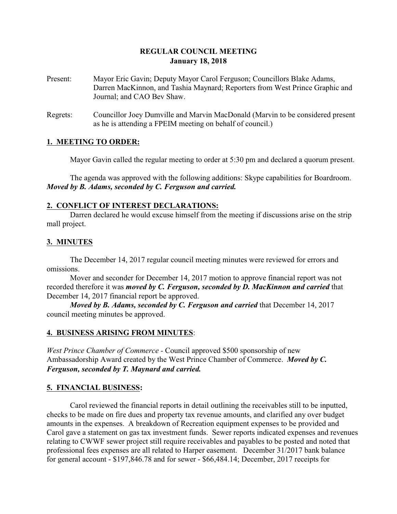# **REGULAR COUNCIL MEETING January 18, 2018**

- Present: Mayor Eric Gavin; Deputy Mayor Carol Ferguson; Councillors Blake Adams, Darren MacKinnon, and Tashia Maynard; Reporters from West Prince Graphic and Journal; and CAO Bev Shaw.
- Regrets: Councillor Joey Dumville and Marvin MacDonald (Marvin to be considered present as he is attending a FPEIM meeting on behalf of council.)

#### **1. MEETING TO ORDER:**

Mayor Gavin called the regular meeting to order at 5:30 pm and declared a quorum present.

The agenda was approved with the following additions: Skype capabilities for Boardroom. *Moved by B. Adams, seconded by C. Ferguson and carried.*

#### **2. CONFLICT OF INTEREST DECLARATIONS:**

Darren declared he would excuse himself from the meeting if discussions arise on the strip mall project.

# **3. MINUTES**

The December 14, 2017 regular council meeting minutes were reviewed for errors and omissions.

Mover and seconder for December 14, 2017 motion to approve financial report was not recorded therefore it was *moved by C. Ferguson, seconded by D. MacKinnon and carried* that December 14, 2017 financial report be approved.

*Moved by B. Adams, seconded by C. Ferguson and carried* that December 14, 2017 council meeting minutes be approved.

# **4. BUSINESS ARISING FROM MINUTES**:

*West Prince Chamber of Commerce -* Council approved \$500 sponsorship of new Ambassadorship Award created by the West Prince Chamber of Commerce. *Moved by C. Ferguson, seconded by T. Maynard and carried.*

# **5. FINANCIAL BUSINESS:**

Carol reviewed the financial reports in detail outlining the receivables still to be inputted, checks to be made on fire dues and property tax revenue amounts, and clarified any over budget amounts in the expenses. A breakdown of Recreation equipment expenses to be provided and Carol gave a statement on gas tax investment funds. Sewer reports indicated expenses and revenues relating to CWWF sewer project still require receivables and payables to be posted and noted that professional fees expenses are all related to Harper easement. December 31/2017 bank balance for general account - \$197,846.78 and for sewer - \$66,484.14; December, 2017 receipts for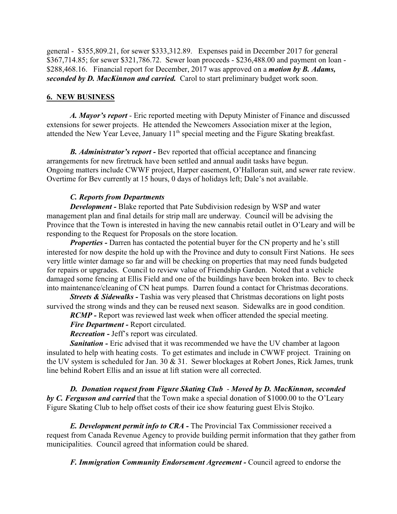general - \$355,809.21, for sewer \$333,312.89. Expenses paid in December 2017 for general \$367,714.85; for sewer \$321,786.72. Sewer loan proceeds - \$236,488.00 and payment on loan - \$288,468.16. Financial report for December, 2017 was approved on a *motion by B. Adams, seconded by D. MacKinnon and carried.* Carol to start preliminary budget work soon.

### **6. NEW BUSINESS**

*A. Mayor's report* - Eric reported meeting with Deputy Minister of Finance and discussed extensions for sewer projects. He attended the Newcomers Association mixer at the legion, attended the New Year Levee, January 11<sup>th</sup> special meeting and the Figure Skating breakfast.

*B. Administrator's report -* Bev reported that official acceptance and financing arrangements for new firetruck have been settled and annual audit tasks have begun. Ongoing matters include CWWF project, Harper easement, O'Halloran suit, and sewer rate review. Overtime for Bev currently at 15 hours, 0 days of holidays left; Dale's not available.

#### *C. Reports from Departments*

*Development -* Blake reported that Pate Subdivision redesign by WSP and water management plan and final details for strip mall are underway. Council will be advising the Province that the Town is interested in having the new cannabis retail outlet in O'Leary and will be responding to the Request for Proposals on the store location.

*Properties* - Darren has contacted the potential buyer for the CN property and he's still interested for now despite the hold up with the Province and duty to consult First Nations. He sees very little winter damage so far and will be checking on properties that may need funds budgeted for repairs or upgrades. Council to review value of Friendship Garden. Noted that a vehicle damaged some fencing at Ellis Field and one of the buildings have been broken into. Bev to check into maintenance/cleaning of CN heat pumps. Darren found a contact for Christmas decorations.

*Streets & Sidewalks* - Tashia was very pleased that Christmas decorations on light posts survived the strong winds and they can be reused next season. Sidewalks are in good condition.

*RCMP -* Report was reviewed last week when officer attended the special meeting.

*Fire Department -* Report circulated.

*Recreation -* Jeff's report was circulated.

**Sanitation -** Eric advised that it was recommended we have the UV chamber at lagoon insulated to help with heating costs. To get estimates and include in CWWF project. Training on the UV system is scheduled for Jan. 30 & 31. Sewer blockages at Robert Jones, Rick James, trunk line behind Robert Ellis and an issue at lift station were all corrected.

*D. Donation request from Figure Skating Club* - *Moved by D. MacKinnon, seconded by C. Ferguson and carried* that the Town make a special donation of \$1000.00 to the O'Leary Figure Skating Club to help offset costs of their ice show featuring guest Elvis Stojko.

*E. Development permit info to CRA -* The Provincial Tax Commissioner received a request from Canada Revenue Agency to provide building permit information that they gather from municipalities. Council agreed that information could be shared.

*F. Immigration Community Endorsement Agreement -* Council agreed to endorse the